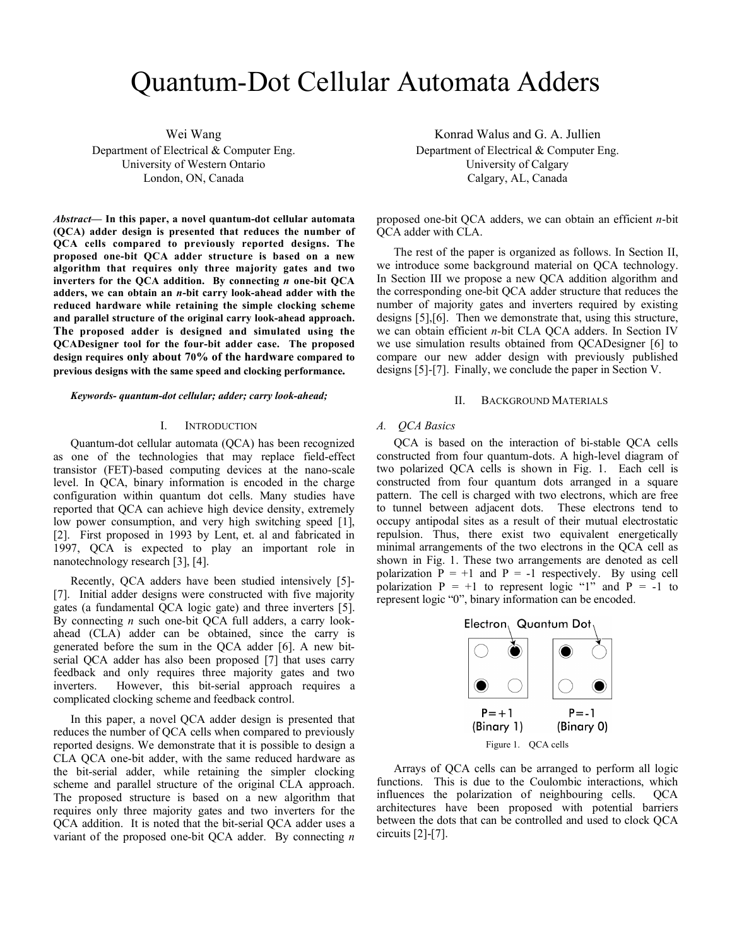# Quantum-Dot Cellular Automata Adders

Wei Wang Department of Electrical & Computer Eng. University of Western Ontario London, ON, Canada

*Abstract***— In this paper, a novel quantum-dot cellular automata (QCA) adder design is presented that reduces the number of QCA cells compared to previously reported designs. The proposed one-bit QCA adder structure is based on a new algorithm that requires only three majority gates and two inverters for the QCA addition. By connecting** *n* **one-bit QCA adders, we can obtain an** *n***-bit carry look-ahead adder with the reduced hardware while retaining the simple clocking scheme and parallel structure of the original carry look-ahead approach. The proposed adder is designed and simulated using the QCADesigner tool for the four-bit adder case. The proposed design requires only about 70% of the hardware compared to previous designs with the same speed and clocking performance.**

*Keywords- quantum-dot cellular; adder; carry look-ahead;*

## I. INTRODUCTION

Quantum-dot cellular automata (QCA) has been recognized as one of the technologies that may replace field-effect transistor (FET)-based computing devices at the nano-scale level. In QCA, binary information is encoded in the charge configuration within quantum dot cells. Many studies have reported that QCA can achieve high device density, extremely low power consumption, and very high switching speed [1], [2]. First proposed in 1993 by Lent, et. al and fabricated in 1997, QCA is expected to play an important role in nanotechnology research [3], [4].

Recently, QCA adders have been studied intensively [5]- [7]. Initial adder designs were constructed with five majority gates (a fundamental QCA logic gate) and three inverters [5]. By connecting *n* such one-bit QCA full adders, a carry lookahead (CLA) adder can be obtained, since the carry is generated before the sum in the QCA adder [6]. A new bitserial QCA adder has also been proposed [7] that uses carry feedback and only requires three majority gates and two inverters. However, this bit-serial approach requires a However, this bit-serial approach requires a complicated clocking scheme and feedback control.

In this paper, a novel QCA adder design is presented that reduces the number of QCA cells when compared to previously reported designs. We demonstrate that it is possible to design a CLA QCA one-bit adder, with the same reduced hardware as the bit-serial adder, while retaining the simpler clocking scheme and parallel structure of the original CLA approach. The proposed structure is based on a new algorithm that requires only three majority gates and two inverters for the QCA addition. It is noted that the bit-serial QCA adder uses a variant of the proposed one-bit QCA adder. By connecting *n*

Konrad Walus and G. A. Jullien Department of Electrical & Computer Eng. University of Calgary Calgary, AL, Canada

proposed one-bit QCA adders, we can obtain an efficient *n*-bit QCA adder with CLA.

The rest of the paper is organized as follows. In Section II, we introduce some background material on QCA technology. In Section III we propose a new QCA addition algorithm and the corresponding one-bit QCA adder structure that reduces the number of majority gates and inverters required by existing designs [5],[6]. Then we demonstrate that, using this structure, we can obtain efficient *n*-bit CLA QCA adders. In Section IV we use simulation results obtained from QCADesigner [6] to compare our new adder design with previously published designs [5]-[7]. Finally, we conclude the paper in Section V.

## II. BACKGROUND MATERIALS

## *A. QCA Basics*

QCA is based on the interaction of bi-stable QCA cells constructed from four quantum-dots. A high-level diagram of two polarized QCA cells is shown in Fig. 1. Each cell is constructed from four quantum dots arranged in a square pattern. The cell is charged with two electrons, which are free to tunnel between adjacent dots. These electrons tend to occupy antipodal sites as a result of their mutual electrostatic repulsion. Thus, there exist two equivalent energetically minimal arrangements of the two electrons in the QCA cell as shown in Fig. 1. These two arrangements are denoted as cell polarization  $\overline{P} = +1$  and  $\overline{P} = -1$  respectively. By using cell polarization  $P = +1$  to represent logic "1" and  $P = -1$  to represent logic "0", binary information can be encoded.



Arrays of QCA cells can be arranged to perform all logic functions. This is due to the Coulombic interactions, which influences the polarization of neighbouring cells. QCA architectures have been proposed with potential barriers between the dots that can be controlled and used to clock QCA circuits [2]-[7].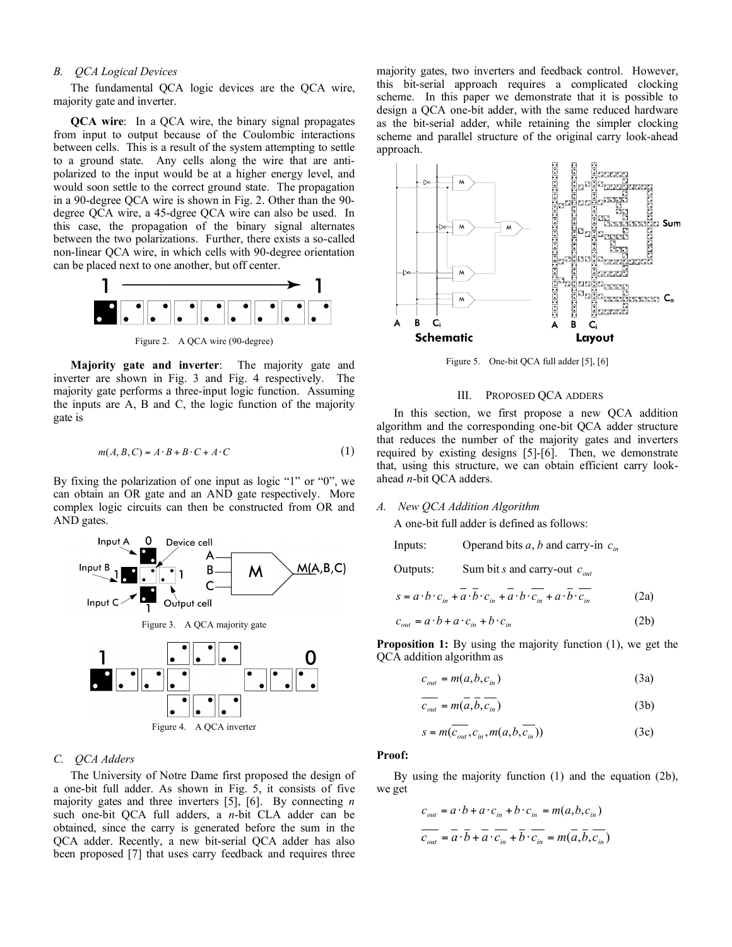# *B. QCA Logical Devices*

The fundamental QCA logic devices are the QCA wire, majority gate and inverter.

**QCA wire**: In a QCA wire, the binary signal propagates from input to output because of the Coulombic interactions between cells. This is a result of the system attempting to settle to a ground state. Any cells along the wire that are antipolarized to the input would be at a higher energy level, and would soon settle to the correct ground state. The propagation in a 90-degree QCA wire is shown in Fig. 2. Other than the 90 degree QCA wire, a 45-dgree QCA wire can also be used. In this case, the propagation of the binary signal alternates between the two polarizations. Further, there exists a so-called non-linear QCA wire, in which cells with 90-degree orientation can be placed next to one another, but off center.



Figure 2. A QCA wire (90-degree)

**Majority gate and inverter**: The majority gate and inverter are shown in Fig. 3 and Fig. 4 respectively. The majority gate performs a three-input logic function. Assuming the inputs are A, B and C, the logic function of the majority gate is

$$
m(A, B, C) = A \cdot B + B \cdot C + A \cdot C \tag{1}
$$

By fixing the polarization of one input as logic "1" or "0", we can obtain an OR gate and an AND gate respectively. More complex logic circuits can then be constructed from OR and AND gates.



# *C. QCA Adders*

The University of Notre Dame first proposed the design of a one-bit full adder. As shown in Fig. 5, it consists of five majority gates and three inverters [5], [6]. By connecting *n* such one-bit QCA full adders, a *n*-bit CLA adder can be obtained, since the carry is generated before the sum in the QCA adder. Recently, a new bit-serial QCA adder has also been proposed [7] that uses carry feedback and requires three majority gates, two inverters and feedback control. However, this bit-serial approach requires a complicated clocking scheme. In this paper we demonstrate that it is possible to design a QCA one-bit adder, with the same reduced hardware as the bit-serial adder, while retaining the simpler clocking scheme and parallel structure of the original carry look-ahead approach.



Figure 5. One-bit QCA full adder [5], [6]

# III. PROPOSED QCA ADDERS

In this section, we first propose a new QCA addition algorithm and the corresponding one-bit QCA adder structure that reduces the number of the majority gates and inverters required by existing designs [5]-[6]. Then, we demonstrate that, using this structure, we can obtain efficient carry lookahead *n*-bit QCA adders.

# *A. New QCA Addition Algorithm*

A one-bit full adder is defined as follows:

Inputs: Operand bits *a*, *b* and carry-in  $c_{in}$ 

Outputs: Sum bit *s* and carry-out *out c*

$$
s = a \cdot b \cdot c_{in} + a \cdot \overline{b} \cdot c_{in} + a \cdot b \cdot \overline{c_{in}} + a \cdot \overline{b} \cdot \overline{c_{in}}
$$
 (2a)

$$
c_{out} = a \cdot b + a \cdot c_{in} + b \cdot c_{in}
$$
 (2b)

**Proposition 1:** By using the majority function (1), we get the QCA addition algorithm as

$$
c_{out} = m(a, b, c_{in})
$$
 (3a)

$$
\overline{c_{out}} = m(\overline{a}, \overline{b}, \overline{c_{in}})
$$
 (3b)

$$
s = m(\overline{c_{out}}, c_{in}, m(a, b, \overline{c_{in}}))
$$
 (3c)

# **Proof:**

By using the majority function (1) and the equation (2b), we get

$$
c_{out} = a \cdot b + a \cdot c_{in} + b \cdot c_{in} = m(a, b, c_{in})
$$

$$
\overline{c_{out}} = \overline{a} \cdot \overline{b} + \overline{a} \cdot \overline{c_{in}} + \overline{b} \cdot \overline{c_{in}} = m(\overline{a}, \overline{b}, \overline{c_{in}})
$$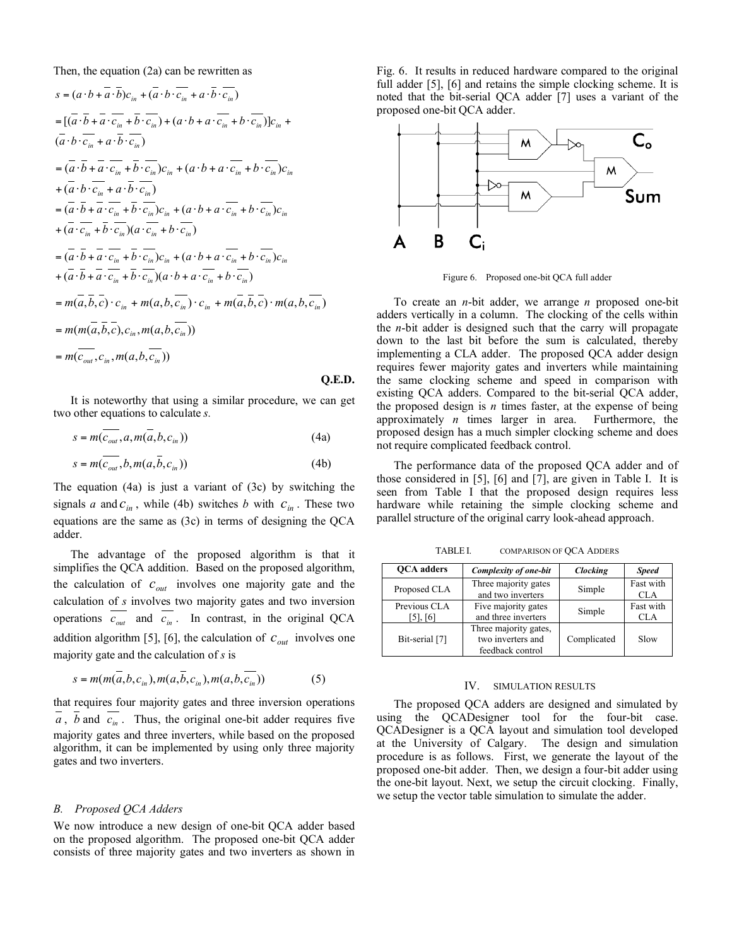Then, the equation (2a) can be rewritten as

$$
s = (a \cdot b + \overline{a} \cdot \overline{b})c_{in} + (\overline{a} \cdot b \cdot \overline{c_{in}} + a \cdot \overline{b} \cdot \overline{c_{in}})
$$
  
\n
$$
= [(\overline{a} \cdot \overline{b} + \overline{a} \cdot \overline{c_{in}} + \overline{b} \cdot \overline{c_{in}}) + (a \cdot b + a \cdot \overline{c_{in}} + b \cdot \overline{c_{in}})]c_{in} + (\overline{a} \cdot b \cdot \overline{c_{in}} + a \cdot \overline{b} \cdot \overline{c_{in}})
$$
  
\n
$$
= (\overline{a} \cdot \overline{b} + \overline{a} \cdot \overline{c_{in}} + \overline{b} \cdot \overline{c_{in}})c_{in} + (a \cdot b + a \cdot \overline{c_{in}} + b \cdot \overline{c_{in}})c_{in}
$$
  
\n
$$
+ (\overline{a} \cdot b \cdot \overline{c_{in}} + a \cdot \overline{b} \cdot \overline{c_{in}})
$$
  
\n
$$
= (\overline{a} \cdot \overline{b} + \overline{a} \cdot \overline{c_{in}} + \overline{b} \cdot \overline{c_{in}})c_{in} + (a \cdot b + a \cdot \overline{c_{in}} + b \cdot \overline{c_{in}})c_{in}
$$
  
\n
$$
+ (\overline{a} \cdot \overline{c_{in}} + \overline{b} \cdot \overline{c_{in}})(a \cdot \overline{c_{in}} + b \cdot \overline{c_{in}})
$$
  
\n
$$
= (\overline{a} \cdot \overline{b} + \overline{a} \cdot \overline{c_{in}} + \overline{b} \cdot \overline{c_{in}})c_{in} + (a \cdot b + a \cdot \overline{c_{in}} + b \cdot \overline{c_{in}})c_{in}
$$
  
\n
$$
+ (\overline{a} \cdot \overline{b} + \overline{a} \cdot \overline{c_{in}} + \overline{b} \cdot \overline{c_{in}})(a \cdot b + a \cdot \overline{c_{in}} + b \cdot \overline{c_{in}})
$$
  
\n
$$
= m(\overline{a}, \overline{b}, \overline{c}) \cdot c_{in} + m(a, b
$$

It is noteworthy that using a similar procedure, we can get two other equations to calculate *s.*

$$
s = m(\overline{c_{out}}, a, m(\overline{a}, b, c_{in}))
$$
 (4a)

$$
s = m(\overline{c_{out}}, b, m(a, \overline{b}, c_{in}))
$$
 (4b)

The equation (4a) is just a variant of (3c) by switching the signals *a* and  $c_{in}$ , while (4b) switches *b* with  $c_{in}$ . These two equations are the same as (3c) in terms of designing the QCA adder.

The advantage of the proposed algorithm is that it simplifies the QCA addition. Based on the proposed algorithm, the calculation of  $c_{out}$  involves one majority gate and the calculation of *s* involves two majority gates and two inversion operations  $\overline{c_{out}}$  and  $\overline{c_{in}}$ . In contrast, in the original QCA addition algorithm [5], [6], the calculation of  $c_{out}$  involves one majority gate and the calculation of *s* is

$$
s = m(m(a, b, c_{in}), m(a, b, c_{in}), m(a, b, c_{in}))
$$
 (5)

that requires four majority gates and three inversion operations  $a$ ,  $b$  and  $c_{in}$ . Thus, the original one-bit adder requires five majority gates and three inverters, while based on the proposed algorithm, it can be implemented by using only three majority gates and two inverters.

# *B. Proposed QCA Adders*

We now introduce a new design of one-bit QCA adder based on the proposed algorithm. The proposed one-bit QCA adder consists of three majority gates and two inverters as shown in Fig. 6. It results in reduced hardware compared to the original full adder [5], [6] and retains the simple clocking scheme. It is noted that the bit-serial QCA adder [7] uses a variant of the proposed one-bit QCA adder.



Figure 6. Proposed one-bit QCA full adder

To create an *n*-bit adder, we arrange *n* proposed one-bit adders vertically in a column. The clocking of the cells within the *n*-bit adder is designed such that the carry will propagate down to the last bit before the sum is calculated, thereby implementing a CLA adder. The proposed QCA adder design requires fewer majority gates and inverters while maintaining the same clocking scheme and speed in comparison with existing QCA adders. Compared to the bit-serial QCA adder, the proposed design is  $n$  times faster, at the expense of being approximately *n* times larger in area. Furthermore, the proposed design has a much simpler clocking scheme and does not require complicated feedback control.

The performance data of the proposed QCA adder and of those considered in [5], [6] and [7], are given in Table I. It is seen from Table I that the proposed design requires less hardware while retaining the simple clocking scheme and parallel structure of the original carry look-ahead approach.

TABLE I. COMPARISON OF QCA ADDERS

| <b>OCA</b> adders        | Complexity of one-bit                                          | Clocking    | <b>Speed</b>            |
|--------------------------|----------------------------------------------------------------|-------------|-------------------------|
| Proposed CLA             | Three majority gates<br>and two inverters                      | Simple      | Fast with<br><b>CLA</b> |
| Previous CLA<br>[5], [6] | Five majority gates<br>and three inverters                     | Simple      | Fast with<br><b>CLA</b> |
| Bit-serial [7]           | Three majority gates,<br>two inverters and<br>feedback control | Complicated | Slow                    |

## IV. SIMULATION RESULTS

The proposed QCA adders are designed and simulated by using the QCADesigner tool for the four-bit case. QCADesigner is a QCA layout and simulation tool developed at the University of Calgary. The design and simulation procedure is as follows. First, we generate the layout of the proposed one-bit adder. Then, we design a four-bit adder using the one-bit layout. Next, we setup the circuit clocking. Finally, we setup the vector table simulation to simulate the adder.